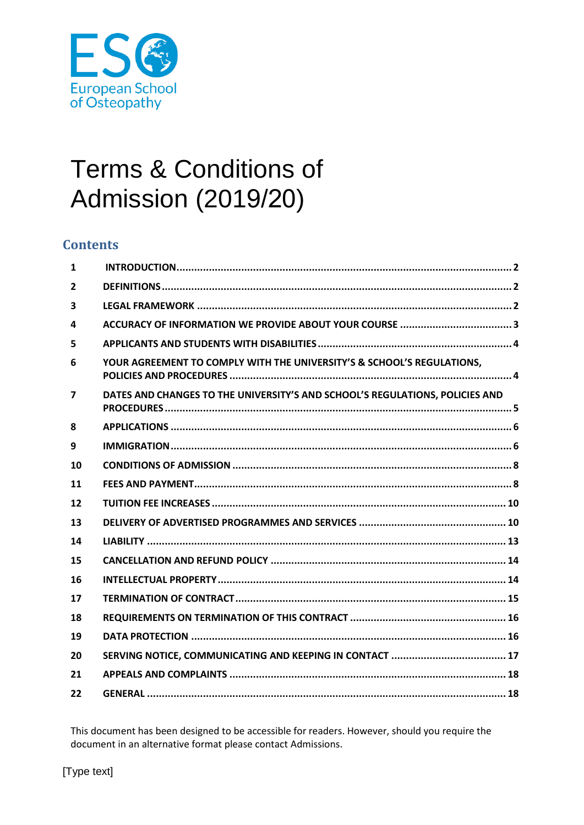

# **Terms & Conditions of Admission (2019/20)**

# **Contents**

| 1                       |                                                                              |
|-------------------------|------------------------------------------------------------------------------|
| $\overline{2}$          |                                                                              |
| $\overline{\mathbf{3}}$ |                                                                              |
| 4                       |                                                                              |
| 5                       |                                                                              |
| 6                       | YOUR AGREEMENT TO COMPLY WITH THE UNIVERSITY'S & SCHOOL'S REGULATIONS,       |
| $\overline{7}$          | DATES AND CHANGES TO THE UNIVERSITY'S AND SCHOOL'S REGULATIONS, POLICIES AND |
| 8                       |                                                                              |
| 9                       |                                                                              |
| 10                      |                                                                              |
| 11                      |                                                                              |
| 12                      |                                                                              |
| 13                      |                                                                              |
| 14                      |                                                                              |
| 15                      |                                                                              |
| 16                      |                                                                              |
| 17                      |                                                                              |
| 18                      |                                                                              |
| 19                      |                                                                              |
| 20                      |                                                                              |
| 21                      |                                                                              |
| 22                      |                                                                              |

This document has been designed to be accessible for readers. However, should you require the document in an alternative format please contact Admissions.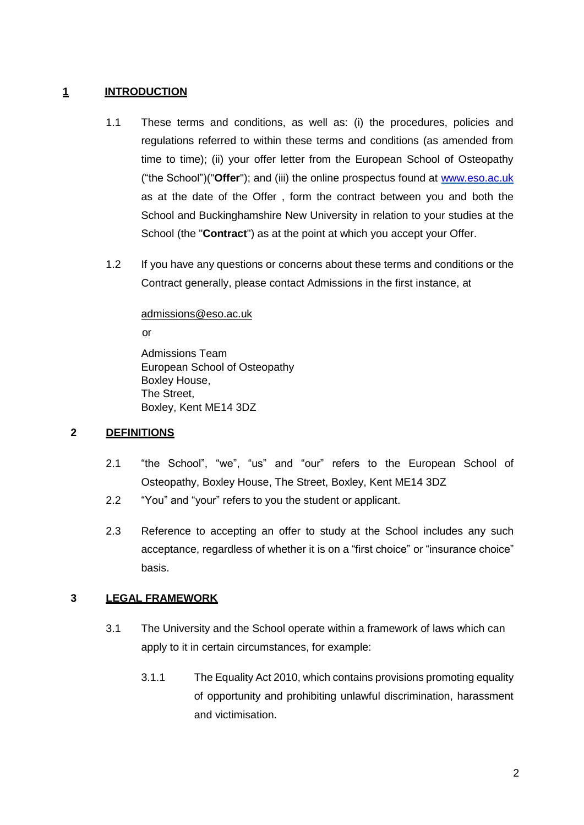# <span id="page-1-0"></span>**1 INTRODUCTION**

- 1.1 These terms and conditions, as well as: (i) the procedures, policies and regulations referred to within these terms and conditions (as amended from time to time); (ii) your offer letter from the European School of Osteopathy ("the School")("**Offer**"); and (iii) the online prospectus found at www.eso.ac.uk as at the date of the Offer , form the contract between you and both the School and Buckinghamshire New University in relation to your studies at the School (the "**Contract**") as at the point at which you accept your Offer.
- 1.2 If you have any questions or concerns about these terms and conditions or the Contract generally, please contact Admissions in the first instance, at

admissions@eso.ac.uk

or

Admissions Team European School of Osteopathy Boxley House, The Street, Boxley, Kent ME14 3DZ

# <span id="page-1-1"></span>**2 DEFINITIONS**

- 2.1 "the School", "we", "us" and "our" refers to the European School of Osteopathy, Boxley House, The Street, Boxley, Kent ME14 3DZ
- 2.2 "You" and "your" refers to you the student or applicant.
- 2.3 Reference to accepting an offer to study at the School includes any such acceptance, regardless of whether it is on a "first choice" or "insurance choice" basis.

# <span id="page-1-2"></span>**3 LEGAL FRAMEWORK**

- 3.1 The University and the School operate within a framework of laws which can apply to it in certain circumstances, for example:
	- 3.1.1 The Equality Act 2010, which contains provisions promoting equality of opportunity and prohibiting unlawful discrimination, harassment and victimisation.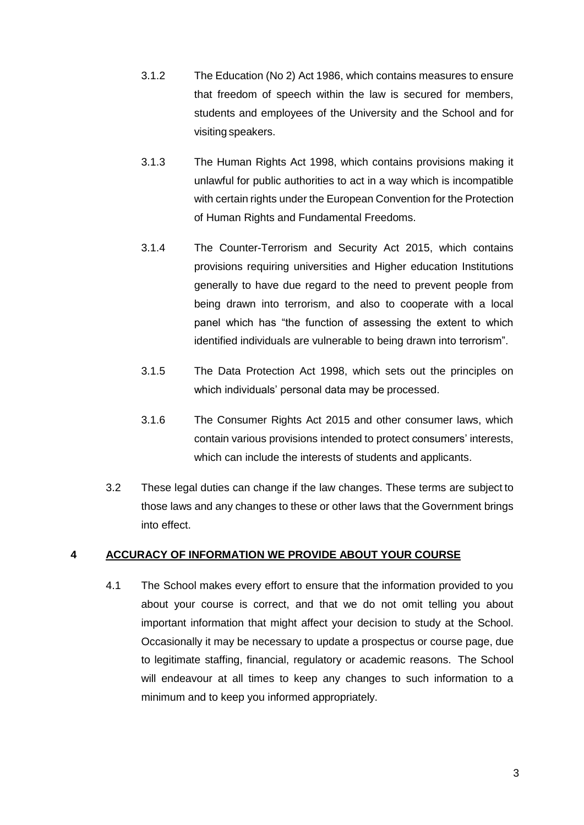- 3.1.2 The Education (No 2) Act 1986, which contains measures to ensure that freedom of speech within the law is secured for members, students and employees of the University and the School and for visiting speakers.
- 3.1.3 The Human Rights Act 1998, which contains provisions making it unlawful for public authorities to act in a way which is incompatible with certain rights under the European Convention for the Protection of Human Rights and Fundamental Freedoms.
- 3.1.4 The Counter-Terrorism and Security Act 2015, which contains provisions requiring universities and Higher education Institutions generally to have due regard to the need to prevent people from being drawn into terrorism, and also to cooperate with a local panel which has "the function of assessing the extent to which identified individuals are vulnerable to being drawn into terrorism".
- 3.1.5 The Data Protection Act 1998, which sets out the principles on which individuals' personal data may be processed.
- 3.1.6 The Consumer Rights Act 2015 and other consumer laws, which contain various provisions intended to protect consumers' interests, which can include the interests of students and applicants.
- 3.2 These legal duties can change if the law changes. These terms are subject to those laws and any changes to these or other laws that the Government brings into effect.

# <span id="page-2-0"></span>**4 ACCURACY OF INFORMATION WE PROVIDE ABOUT YOUR COURSE**

4.1 The School makes every effort to ensure that the information provided to you about your course is correct, and that we do not omit telling you about important information that might affect your decision to study at the School. Occasionally it may be necessary to update a prospectus or course page, due to legitimate staffing, financial, regulatory or academic reasons. The School will endeavour at all times to keep any changes to such information to a minimum and to keep you informed appropriately.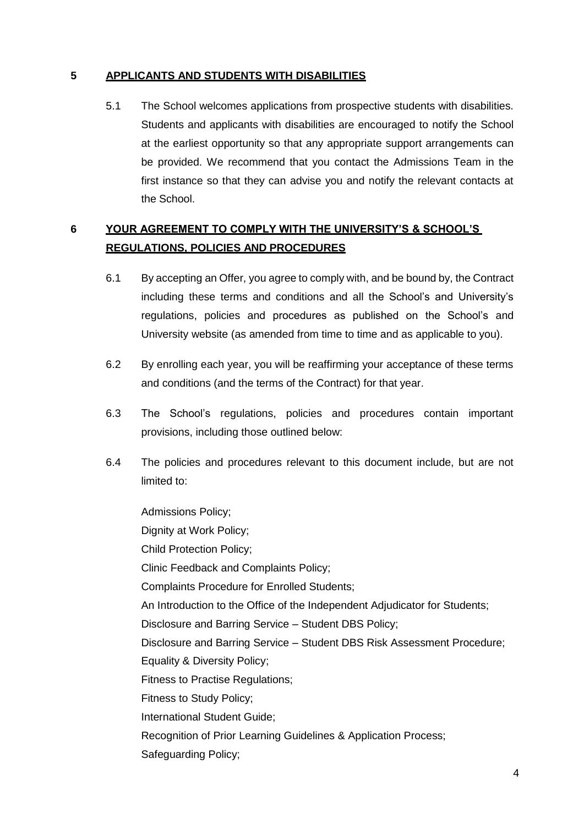# <span id="page-3-0"></span>**5 APPLICANTS AND STUDENTS WITH DISABILITIES**

5.1 The School welcomes applications from prospective students with disabilities. Students and applicants with disabilities are encouraged to notify the School at the earliest opportunity so that any appropriate support arrangements can be provided. We recommend that you contact the Admissions Team in the first instance so that they can advise you and notify the relevant contacts at the School.

# <span id="page-3-1"></span>**6 YOUR AGREEMENT TO COMPLY WITH THE UNIVERSITY'S & SCHOOL'S REGULATIONS, POLICIES AND PROCEDURES**

- 6.1 By accepting an Offer, you agree to comply with, and be bound by, the Contract including these terms and conditions and all the School's and University's regulations, policies and procedures as published on the School's and University website (as amended from time to time and as applicable to you).
- 6.2 By enrolling each year, you will be reaffirming your acceptance of these terms and conditions (and the terms of the Contract) for that year.
- 6.3 The School's regulations, policies and procedures contain important provisions, including those outlined below:
- 6.4 The policies and procedures relevant to this document include, but are not limited to:

Admissions Policy; Dignity at Work Policy; Child Protection Policy; Clinic Feedback and Complaints Policy; Complaints Procedure for Enrolled Students; An Introduction to the Office of the Independent Adjudicator for Students; Disclosure and Barring Service – Student DBS Policy; Disclosure and Barring Service – Student DBS Risk Assessment Procedure; Equality & Diversity Policy; Fitness to Practise Regulations; Fitness to Study Policy; International Student Guide; Recognition of Prior Learning Guidelines & Application Process; Safeguarding Policy;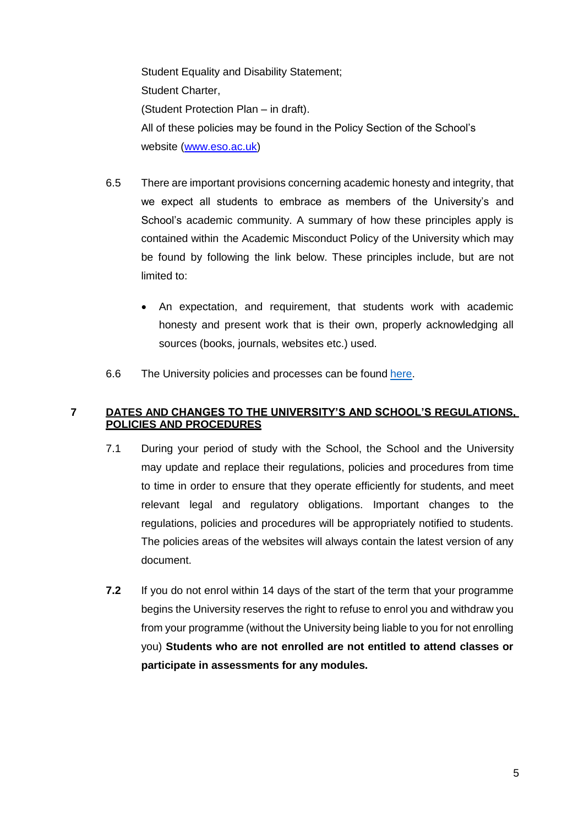Student Equality and Disability Statement; Student Charter, (Student Protection Plan – in draft). All of these policies may be found in the Policy Section of the School's website [\(www.eso.ac.uk\)](http://www.eso.ac.uk/)

- 6.5 There are important provisions concerning academic honesty and integrity, that we expect all students to embrace as members of the University's and School's academic community. A summary of how these principles apply is contained within the Academic Misconduct Policy of the University which may be found by following the link below. These principles include, but are not limited to:
	- An expectation, and requirement, that students work with academic honesty and present work that is their own, properly acknowledging all sources (books, journals, websites etc.) used.
- 6.6 The University policies and processes can be found [here.](http://bucks.ac.uk/about-us/governance-and-policies/policies)

# <span id="page-4-0"></span>**7 DATES AND CHANGES TO THE UNIVERSITY'S AND SCHOOL'S REGULATIONS, POLICIES AND PROCEDURES**

- 7.1 During your period of study with the School, the School and the University may update and replace their regulations, policies and procedures from time to time in order to ensure that they operate efficiently for students, and meet relevant legal and regulatory obligations. Important changes to the regulations, policies and procedures will be appropriately notified to students. The policies areas of the websites will always contain the latest version of any document.
- **7.2** If you do not enrol within 14 days of the start of the term that your programme begins the University reserves the right to refuse to enrol you and withdraw you from your programme (without the University being liable to you for not enrolling you) **Students who are not enrolled are not entitled to attend classes or participate in assessments for any modules.**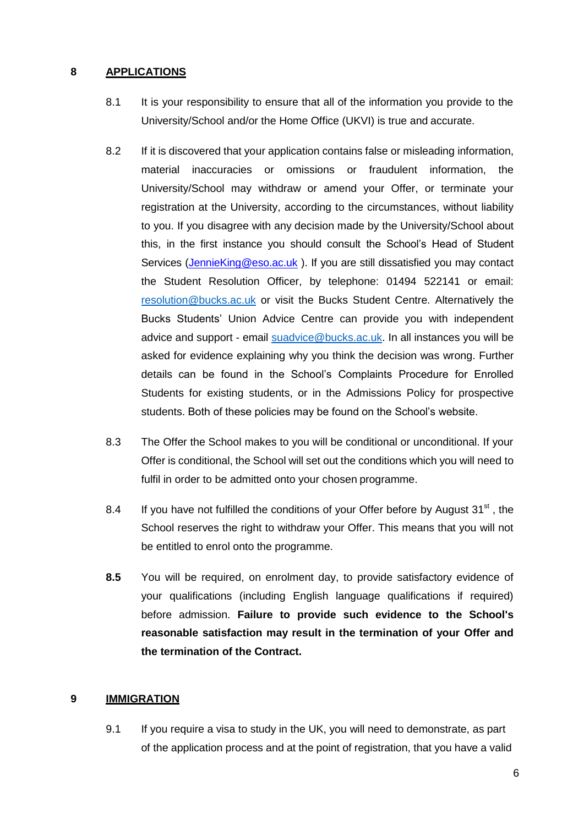#### <span id="page-5-0"></span>**8 APPLICATIONS**

- 8.1 It is your responsibility to ensure that all of the information you provide to the University/School and/or the Home Office (UKVI) is true and accurate.
- 8.2 If it is discovered that your application contains false or misleading information, material inaccuracies or omissions or fraudulent information, the University/School may withdraw or amend your Offer, or terminate your registration at the University, according to the circumstances, without liability to you. If you disagree with any decision made by the University/School about this, in the first instance you should consult the School's Head of Student Services [\(JennieKing@eso.ac.uk](mailto:JennieKing@eso.ac.uk) ). If you are still dissatisfied you may contact the Student Resolution Officer, by telephone: 01494 522141 or email[:](mailto:resolution@bucks.ac.uk) [resolution@bucks.ac.uk](mailto:resolution@bucks.ac.uk) or visit the Bucks Student Centre. Alternatively the Bucks Students' Union Advice Centre can provide you with independent advice and support - email [suadvice@bucks.ac.uk.](mailto:suadvice@bucks.ac.uk) In all instances you will be asked for evidence explaining why you think the decision was wrong. Further details can be found in the School's Complaints Procedure for Enrolled Students for existing students, or in the Admissions Policy for prospective students. Both of these policies may be found on the School's website.
- 8.3 The Offer the School makes to you will be conditional or unconditional. If your Offer is conditional, the School will set out the conditions which you will need to fulfil in order to be admitted onto your chosen programme.
- 8.4 If you have not fulfilled the conditions of your Offer before by August  $31<sup>st</sup>$ , the School reserves the right to withdraw your Offer. This means that you will not be entitled to enrol onto the programme.
- **8.5** You will be required, on enrolment day, to provide satisfactory evidence of your qualifications (including English language qualifications if required) before admission. **Failure to provide such evidence to the School's reasonable satisfaction may result in the termination of your Offer and the termination of the Contract.**

# <span id="page-5-1"></span>**9 IMMIGRATION**

9.1 If you require a visa to study in the UK, you will need to demonstrate, as part of the application process and at the point of registration, that you have a valid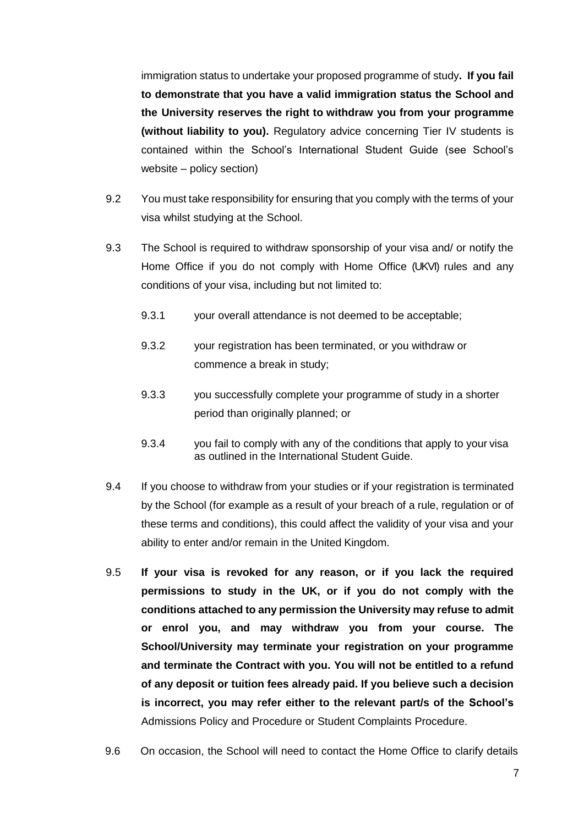immigration status to undertake your proposed programme of study**. If you fail to demonstrate that you have a valid immigration status the School and the University reserves the right to withdraw you from your programme (without liability to you).** Regulatory advice concerning Tier IV students is contained within the School's International Student Guide (see School's website – policy section)

- 9.2 You must take responsibility for ensuring that you comply with the terms of your visa whilst studying at the School.
- 9.3 The School is required to withdraw sponsorship of your visa and/ or notify the Home Office if you do not comply with Home Office (UKVI) rules and any conditions of your visa, including but not limited to:
	- 9.3.1 your overall attendance is not deemed to be acceptable;
	- 9.3.2 your registration has been terminated, or you withdraw or commence a break in study;
	- 9.3.3 you successfully complete your programme of study in a shorter period than originally planned; or
	- 9.3.4 you fail to comply with any of the conditions that apply to your visa as outlined in the International Student Guide.
- 9.4 If you choose to withdraw from your studies or if your registration is terminated by the School (for example as a result of your breach of a rule, regulation or of these terms and conditions), this could affect the validity of your visa and your ability to enter and/or remain in the United Kingdom.
- 9.5 **If your visa is revoked for any reason, or if you lack the required permissions to study in the UK, or if you do not comply with the conditions attached to any permission the University may refuse to admit or enrol you, and may withdraw you from your course. The School/University may terminate your registration on your programme and terminate the Contract with you. You will not be entitled to a refund of any deposit or tuition fees already paid. If you believe such a decision is incorrect, you may refer either to the relevant part/s of the School's** [Admissions Policy and](http://bucks.ac.uk/__data/assets/pdf_file/0023/9527/Admissions-Policy-and-Procedure.pdf) [Procedure o](http://bucks.ac.uk/__data/assets/pdf_file/0023/9527/Admissions-Policy-and-Procedure.pdf)r [Student Complaints Procedure.](http://bucks.ac.uk/__data/assets/pdf_file/0015/9501/Student-complaints-procedure.pdf)
- 9.6 On occasion, the School will need to contact the Home Office to clarify details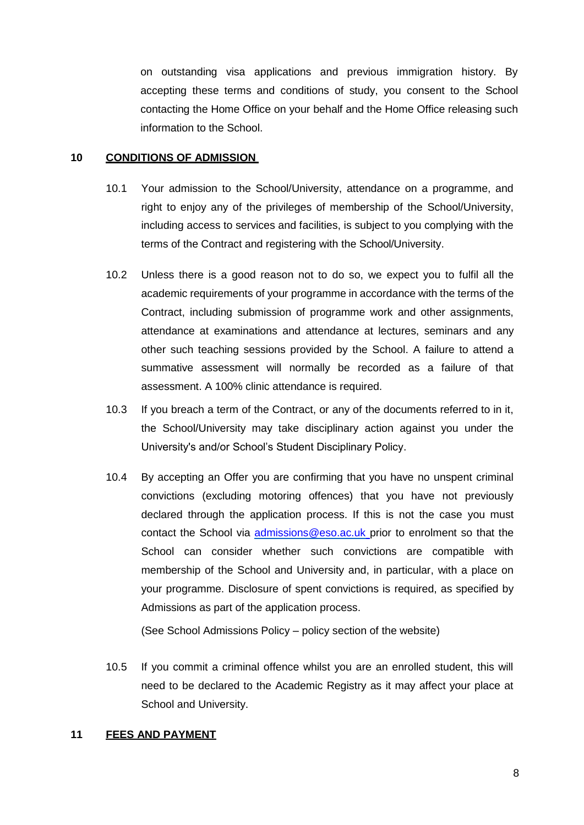on outstanding visa applications and previous immigration history. By accepting these terms and conditions of study, you consent to the School contacting the Home Office on your behalf and the Home Office releasing such information to the School.

#### <span id="page-7-0"></span>**10 CONDITIONS OF ADMISSION**

- 10.1 Your admission to the School/University, attendance on a programme, and right to enjoy any of the privileges of membership of the School/University, including access to services and facilities, is subject to you complying with the terms of the Contract and registering with the School/University.
- 10.2 Unless there is a good reason not to do so, we expect you to fulfil all the academic requirements of your programme in accordance with the terms of the Contract, including submission of programme work and other assignments, attendance at examinations and attendance at lectures, seminars and any other such teaching sessions provided by the School. A failure to attend a summative assessment will normally be recorded as a failure of that assessment. A 100% clinic attendance is required.
- 10.3 If you breach a term of the Contract, or any of the documents referred to in it, the School/University may take disciplinary action against you under the University's and/or School's Student Disciplinary Policy.
- 10.4 By accepting an Offer you are confirming that you have no unspent criminal convictions (excluding motoring offences) that you have not previously declared through the application process. If this is not the case you must contact the School via [admissions@eso.ac.uk](mailto:admissions@eso.ac.uk) prior to enrolment so that the School can consider whether such convictions are compatible with membership of the School and University and, in particular, with a place on your programme. Disclosure of spent convictions is required, as specified by Admissions as part of the application process.

(See School Admissions Policy – policy section of the website)

10.5 If you commit a criminal offence whilst you are an enrolled student, this will need to be declared to the Academic Registry as it may affect your place at School and University.

#### <span id="page-7-1"></span>**11 FEES AND PAYMENT**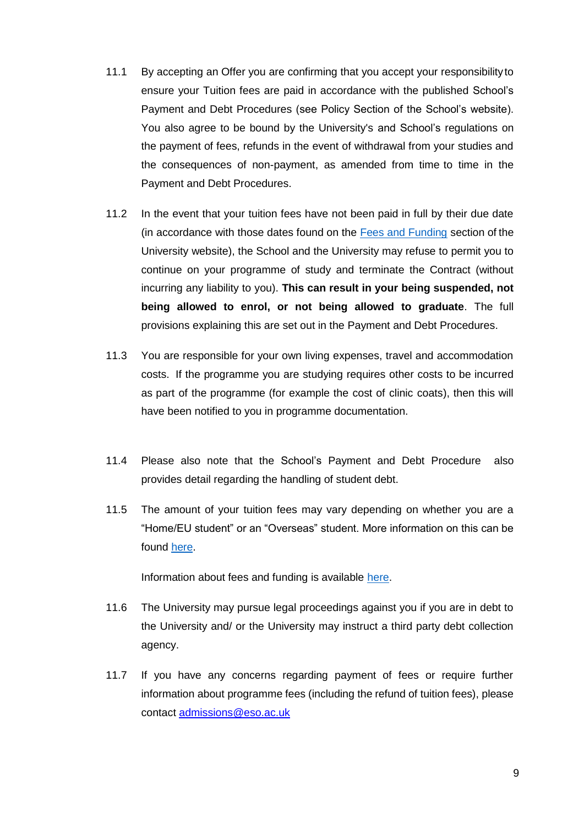- 11.1 By accepting an Offer you are confirming that you accept your responsibilityto ensure your Tuition fees are paid in accordance with the published School's [Payment](https://bucks.ac.uk/__data/assets/pdf_file/0022/13279/Payment-and-Debt-Procedures-Home-EU-Fees.pdf) [and Debt Procedures](https://bucks.ac.uk/__data/assets/pdf_file/0022/13279/Payment-and-Debt-Procedures-Home-EU-Fees.pdf) (see Policy Section of the School's website). You also agree to be bound by the University's and School's regulations on the payment of fees, refunds in the event of withdrawal from your studies and the consequences of non-payment, as amended from time to time in th[e](https://bucks.ac.uk/__data/assets/pdf_file/0022/13279/Payment-and-Debt-Procedures-Home-EU-Fees.pdf) [Payment and Debt](https://bucks.ac.uk/__data/assets/pdf_file/0022/13279/Payment-and-Debt-Procedures-Home-EU-Fees.pdf) Procedures.
- 11.2 In the event that your tuition fees have not been paid in full by their due date (in accordance with those dates found on the **[Fees and Funding](http://bucks.ac.uk/applying-to-bucks/undergraduate/fees-and-funding-ug/installment-policy) section of the** University website), the School and the University may refuse to permit you to continue on your programme of study and terminate the Contract (without incurring any liability to you). **This can result in your being suspended, not being allowed to enrol, or not being allowed to graduate**. The full provisions explaining this are set out in the [Payment and Debt Procedures.](http://bucks.ac.uk/__data/assets/pdf_file/0022/13279/Payment-and-Debt-Procedures-Home-EU-Fees.pdf)
- 11.3 You are responsible for your own living expenses, travel and accommodation costs. If the programme you are studying requires other costs to be incurred as part of the programme (for example the cost of clinic coats), then this will have been notified to you in programme documentation.
- 11.4 Please also note that the School's [Payment and Debt Procedure a](http://bucks.ac.uk/__data/assets/pdf_file/0013/13450/Bad-Debt-Policy.pdf)lso provides detail regarding the handling of student debt.
- 11.5 The amount of your tuition fees may vary depending on whether you are a "Home/EU student" or an "Overseas" student. More information on this can be found [here.](https://www.ukcisa.org.uk/Information--Advice/Fees-and-Money/Home-or-Overseas-fees-the-basics)

Information about fees and funding is available [here.](http://bucks.ac.uk/applying-to-bucks/undergraduate/fees-and-funding-ug)

- 11.6 The University may pursue legal proceedings against you if you are in debt to the University and/ or the University may instruct a third party debt collection agency.
- 11.7 If you have any concerns regarding payment of fees or require further information about programme fees (including the refund of tuition fees), please contact [admissions@eso.ac.uk](mailto:admissions@eso.ac.uk)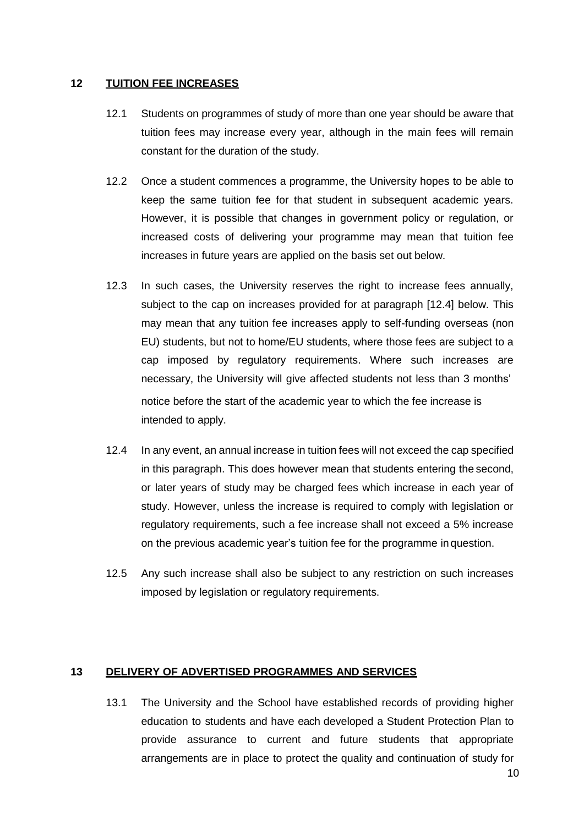#### <span id="page-9-0"></span>**12 TUITION FEE INCREASES**

- 12.1 Students on programmes of study of more than one year should be aware that tuition fees may increase every year, although in the main fees will remain constant for the duration of the study.
- 12.2 Once a student commences a programme, the University hopes to be able to keep the same tuition fee for that student in subsequent academic years. However, it is possible that changes in government policy or regulation, or increased costs of delivering your programme may mean that tuition fee increases in future years are applied on the basis set out below.
- 12.3 In such cases, the University reserves the right to increase fees annually, subject to the cap on increases provided for at paragraph [12.4] below. This may mean that any tuition fee increases apply to self-funding overseas (non EU) students, but not to home/EU students, where those fees are subject to a cap imposed by regulatory requirements. Where such increases are necessary, the University will give affected students not less than 3 months' notice before the start of the academic year to which the fee increase is intended to apply.
- 12.4 In any event, an annual increase in tuition fees will not exceed the cap specified in this paragraph. This does however mean that students entering the second, or later years of study may be charged fees which increase in each year of study. However, unless the increase is required to comply with legislation or regulatory requirements, such a fee increase shall not exceed a 5% increase on the previous academic year's tuition fee for the programme in question.
- 12.5 Any such increase shall also be subject to any restriction on such increases imposed by legislation or regulatory requirements.

#### <span id="page-9-1"></span>**13 DELIVERY OF ADVERTISED PROGRAMMES AND SERVICES**

13.1 The University and the School have established records of providing higher education to students and have each developed a Student Protection Plan to provide assurance to current and future students that appropriate arrangements are in place to protect the quality and continuation of study for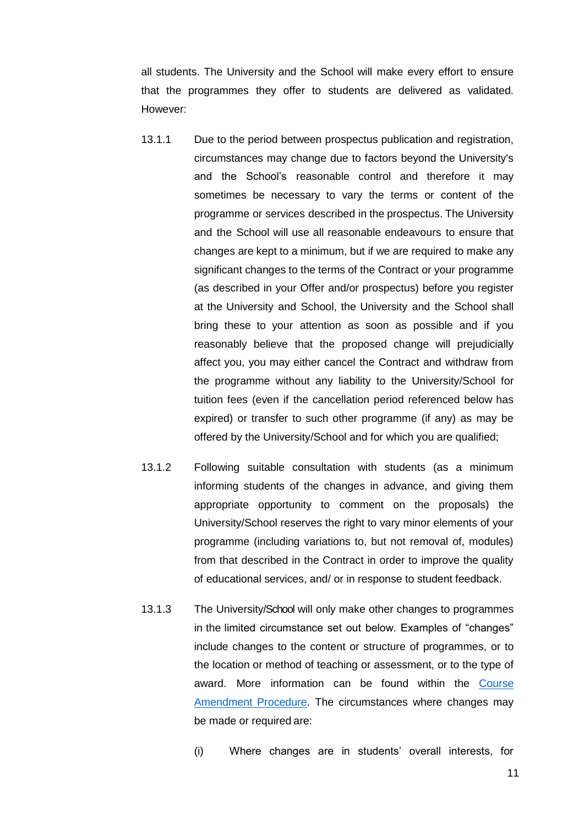all students. The University and the School will make every effort to ensure that the programmes they offer to students are delivered as validated. However:

- 13.1.1 Due to the period between prospectus publication and registration, circumstances may change due to factors beyond the University's and the School's reasonable control and therefore it may sometimes be necessary to vary the terms or content of the programme or services described in the prospectus. The University and the School will use all reasonable endeavours to ensure that changes are kept to a minimum, but if we are required to make any significant changes to the terms of the Contract or your programme (as described in your Offer and/or prospectus) before you register at the University and School, the University and the School shall bring these to your attention as soon as possible and if you reasonably believe that the proposed change will prejudicially affect you, you may either cancel the Contract and withdraw from the programme without any liability to the University/School for tuition fees (even if the cancellation period referenced below has expired) or transfer to such other programme (if any) as may be offered by the University/School and for which you are qualified;
- 13.1.2 Following suitable consultation with students (as a minimum informing students of the changes in advance, and giving them appropriate opportunity to comment on the proposals) the University/School reserves the right to vary minor elements of your programme (including variations to, but not removal of, modules) from that described in the Contract in order to improve the quality of educational services, and/ or in response to student feedback.
- 13.1.3 The University/School will only make other changes to programmes in the limited circumstance set out below. Examples of "changes" include changes to the content or structure of programmes, or to the location or method of teaching or assessment, or to the type of award. More information can be found within the [Course](http://bucks.ac.uk/__data/assets/pdf_file/0022/12748/Course-Amendment-Procedure.pdf) [Amendment](http://bucks.ac.uk/__data/assets/pdf_file/0022/12748/Course-Amendment-Procedure.pdf) Procedure. The circumstances where changes may be made or required are:
	- (i) Where changes are in students' overall interests, for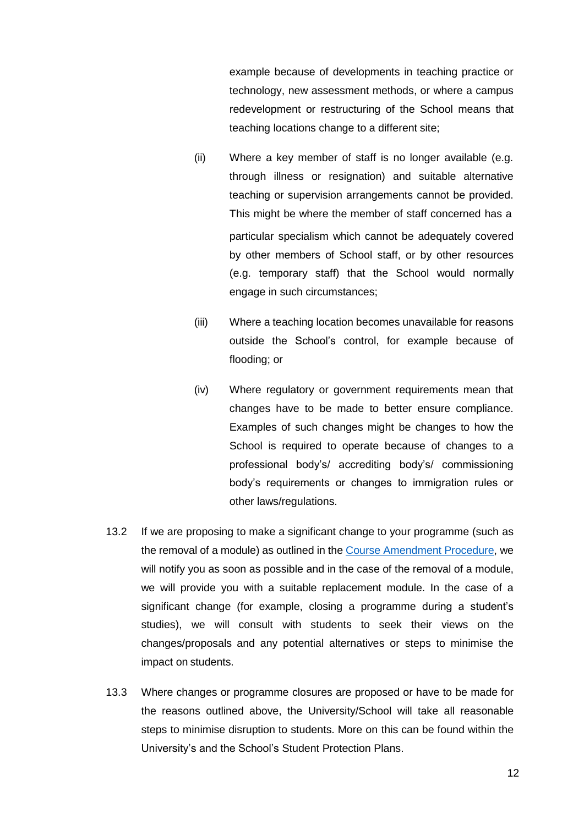example because of developments in teaching practice or technology, new assessment methods, or where a campus redevelopment or restructuring of the School means that teaching locations change to a different site;

- (ii) Where a key member of staff is no longer available (e.g. through illness or resignation) and suitable alternative teaching or supervision arrangements cannot be provided. This might be where the member of staff concerned has a particular specialism which cannot be adequately covered by other members of School staff, or by other resources (e.g. temporary staff) that the School would normally engage in such circumstances;
- (iii) Where a teaching location becomes unavailable for reasons outside the School's control, for example because of flooding; or
- (iv) Where regulatory or government requirements mean that changes have to be made to better ensure compliance. Examples of such changes might be changes to how the School is required to operate because of changes to a professional body's/ accrediting body's/ commissioning body's requirements or changes to immigration rules or other laws/regulations.
- 13.2 If we are proposing to make a significant change to your programme (such as the removal of a module) as outlined in the Course [Amendment](http://bucks.ac.uk/__data/assets/pdf_file/0022/12748/Course-Amendment-Procedure.pdf) Procedure, we will notify you as soon as possible and in the case of the removal of a module, we will provide you with a suitable replacement module. In the case of a significant change (for example, closing a programme during a student's studies), we will consult with students to seek their views on the changes/proposals and any potential alternatives or steps to minimise the impact on students.
- 13.3 Where changes or programme closures are proposed or have to be made for the reasons outlined above, the University/School will take all reasonable steps to minimise disruption to students. More on this can be found within the University's and the School's [Student Protection](https://bucks.ac.uk/about-us/governance-and-policies/policies) Plans.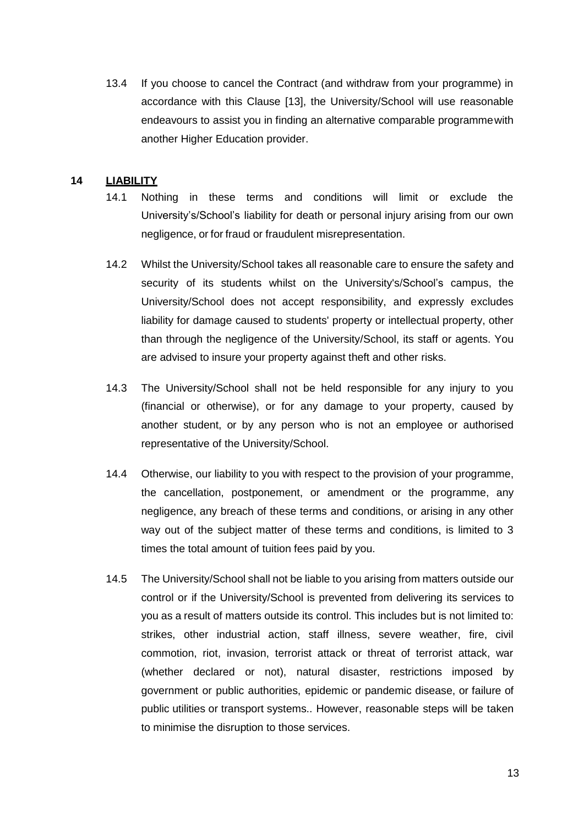13.4 If you choose to cancel the Contract (and withdraw from your programme) in accordance with this Clause [13], the University/School will use reasonable endeavours to assist you in finding an alternative comparable programmewith another Higher Education provider.

#### <span id="page-12-0"></span>**14 LIABILITY**

- 14.1 Nothing in these terms and conditions will limit or exclude the University's/School's liability for death or personal injury arising from our own negligence, or for fraud or fraudulent misrepresentation.
- 14.2 Whilst the University/School takes all reasonable care to ensure the safety and security of its students whilst on the University's/School's campus, the University/School does not accept responsibility, and expressly excludes liability for damage caused to students' property or intellectual property, other than through the negligence of the University/School, its staff or agents. You are advised to insure your property against theft and other risks.
- 14.3 The University/School shall not be held responsible for any injury to you (financial or otherwise), or for any damage to your property, caused by another student, or by any person who is not an employee or authorised representative of the University/School.
- 14.4 Otherwise, our liability to you with respect to the provision of your programme, the cancellation, postponement, or amendment or the programme, any negligence, any breach of these terms and conditions, or arising in any other way out of the subject matter of these terms and conditions, is limited to 3 times the total amount of tuition fees paid by you.
- 14.5 The University/School shall not be liable to you arising from matters outside our control or if the University/School is prevented from delivering its services to you as a result of matters outside its control. This includes but is not limited to: strikes, other industrial action, staff illness, severe weather, fire, civil commotion, riot, invasion, terrorist attack or threat of terrorist attack, war (whether declared or not), natural disaster, restrictions imposed by government or public authorities, epidemic or pandemic disease, or failure of public utilities or transport systems.. However, reasonable steps will be taken to minimise the disruption to those services.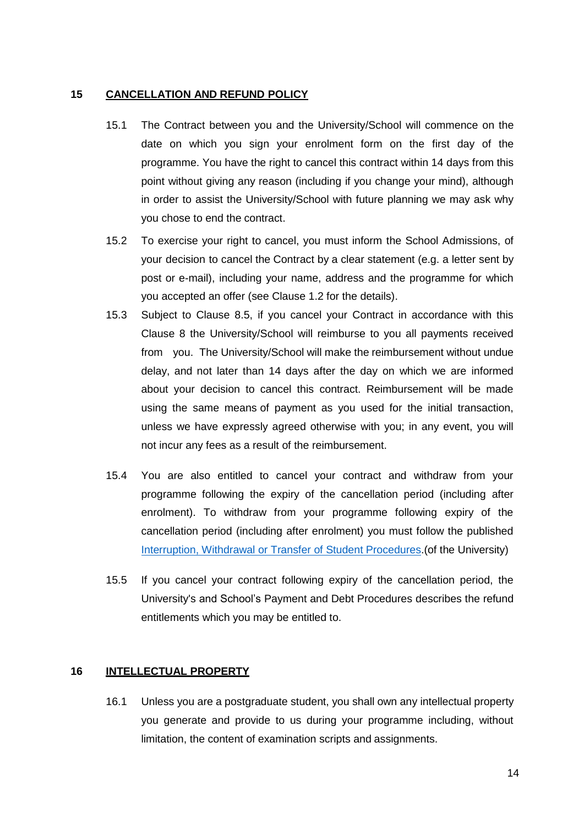#### <span id="page-13-0"></span>**15 CANCELLATION AND REFUND POLICY**

- 15.1 The Contract between you and the University/School will commence on the date on which you sign your enrolment form on the first day of the programme. You have the right to cancel this contract within 14 days from this point without giving any reason (including if you change your mind), although in order to assist the University/School with future planning we may ask why you chose to end the contract.
- 15.2 To exercise your right to cancel, you must inform the School Admissions, of your decision to cancel the Contract by a clear statement (e.g. a letter sent by post or e-mail), including your name, address and the programme for which you accepted an offer (see Clause 1.2 for the details).
- 15.3 Subject to Clause 8.5, if you cancel your Contract in accordance with this Clause 8 the University/School will reimburse to you all payments received from you. The University/School will make the reimbursement without undue delay, and not later than 14 days after the day on which we are informed about your decision to cancel this contract. Reimbursement will be made using the same means of payment as you used for the initial transaction, unless we have expressly agreed otherwise with you; in any event, you will not incur any fees as a result of the reimbursement.
- 15.4 You are also entitled to cancel your contract and withdraw from your programme following the expiry of the cancellation period (including after enrolment). To withdraw from your programme following expiry of the cancellation period (including after enrolment) you must follow the publishe[d](http://bucks.ac.uk/about_us/how_we_are_structured/Governance/Regulations/) [Interruption, Withdrawal or Transfer of Student](http://bucks.ac.uk/about_us/how_we_are_structured/Governance/Regulations/) Procedures.(of the University)
- 15.5 If you cancel your contract following expiry of the cancellation period, the University's and School's [Payment and Debt Procedures d](https://bucks.ac.uk/__data/assets/pdf_file/0022/13279/Payment-and-Debt-Procedures-Home-EU-Fees.pdf)escribes the refund entitlements which you may be entitled to.

# <span id="page-13-1"></span>**16 INTELLECTUAL PROPERTY**

16.1 Unless you are a postgraduate student, you shall own any intellectual property you generate and provide to us during your programme including, without limitation, the content of examination scripts and assignments.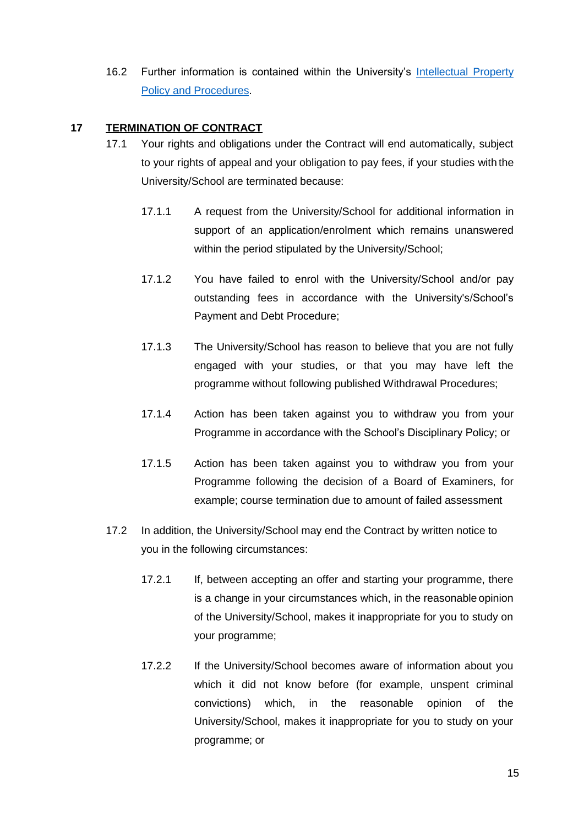16.2 Further information is contained within the University's [Intellectual Property](http://bucks.ac.uk/__data/assets/pdf_file/0022/12775/Intellectual-Property-Policy-and-Procedures.pdf) Policy and [Procedures.](http://bucks.ac.uk/__data/assets/pdf_file/0022/12775/Intellectual-Property-Policy-and-Procedures.pdf)

# <span id="page-14-0"></span>**17 TERMINATION OF CONTRACT**

- 17.1 Your rights and obligations under the Contract will end automatically, subject to your rights of appeal and your obligation to pay fees, if your studies with the University/School are terminated because:
	- 17.1.1 A request from the University/School for additional information in support of an application/enrolment which remains unanswered within the period stipulated by the University/School;
	- 17.1.2 You have failed to enrol with the University/School and/or pay outstanding fees in accordance with the University's/School's [Payment and Debt](https://bucks.ac.uk/__data/assets/pdf_file/0022/13279/Payment-and-Debt-Procedures-Home-EU-Fees.pdf) [Procedure;](https://bucks.ac.uk/__data/assets/pdf_file/0022/13279/Payment-and-Debt-Procedures-Home-EU-Fees.pdf)
	- 17.1.3 The University/School has reason to believe that you are not fully engaged with your studies, or that you may have left the programme without following published Withdrawal Procedures;
	- 17.1.4 Action has been taken against you to withdraw you from your Programme in accordance with the School's Disciplinary Policy; or
	- 17.1.5 Action has been taken against you to withdraw you from your Programme following the decision of a Board of Examiners, for example; course termination due to amount of failed assessment
- 17.2 In addition, the University/School may end the Contract by written notice to you in the following circumstances:
	- 17.2.1 If, between accepting an offer and starting your programme, there is a change in your circumstances which, in the reasonable opinion of the University/School, makes it inappropriate for you to study on your programme;
	- 17.2.2 If the University/School becomes aware of information about you which it did not know before (for example, unspent criminal convictions) which, in the reasonable opinion of the University/School, makes it inappropriate for you to study on your programme; or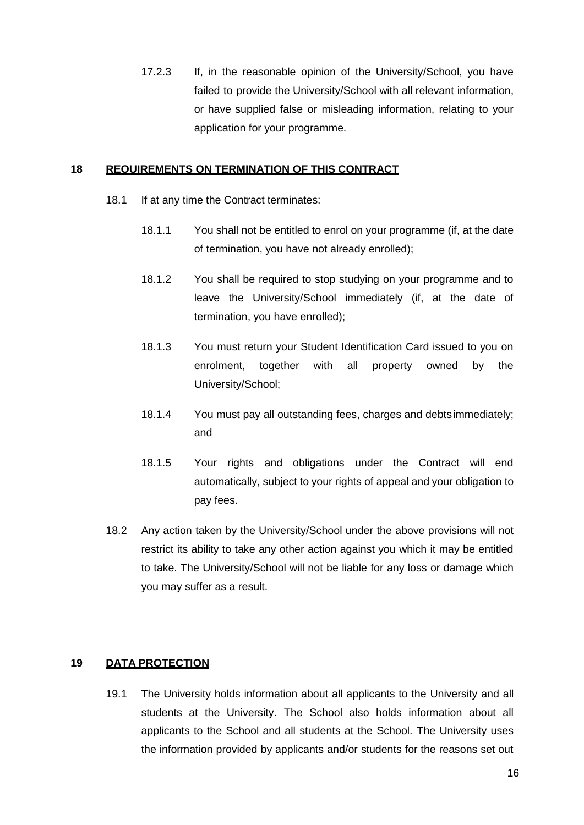17.2.3 If, in the reasonable opinion of the University/School, you have failed to provide the University/School with all relevant information, or have supplied false or misleading information, relating to your application for your programme.

#### <span id="page-15-0"></span>**18 REQUIREMENTS ON TERMINATION OF THIS CONTRACT**

- 18.1 If at any time the Contract terminates:
	- 18.1.1 You shall not be entitled to enrol on your programme (if, at the date of termination, you have not already enrolled);
	- 18.1.2 You shall be required to stop studying on your programme and to leave the University/School immediately (if, at the date of termination, you have enrolled);
	- 18.1.3 You must return your Student Identification Card issued to you on enrolment, together with all property owned by the University/School;
	- 18.1.4 You must pay all outstanding fees, charges and debtsimmediately; and
	- 18.1.5 Your rights and obligations under the Contract will end automatically, subject to your rights of appeal and your obligation to pay fees.
- 18.2 Any action taken by the University/School under the above provisions will not restrict its ability to take any other action against you which it may be entitled to take. The University/School will not be liable for any loss or damage which you may suffer as a result.

#### <span id="page-15-1"></span>**19 DATA PROTECTION**

19.1 The University holds information about all applicants to the University and all students at the University. The School also holds information about all applicants to the School and all students at the School. The University uses the information provided by applicants and/or students for the reasons set out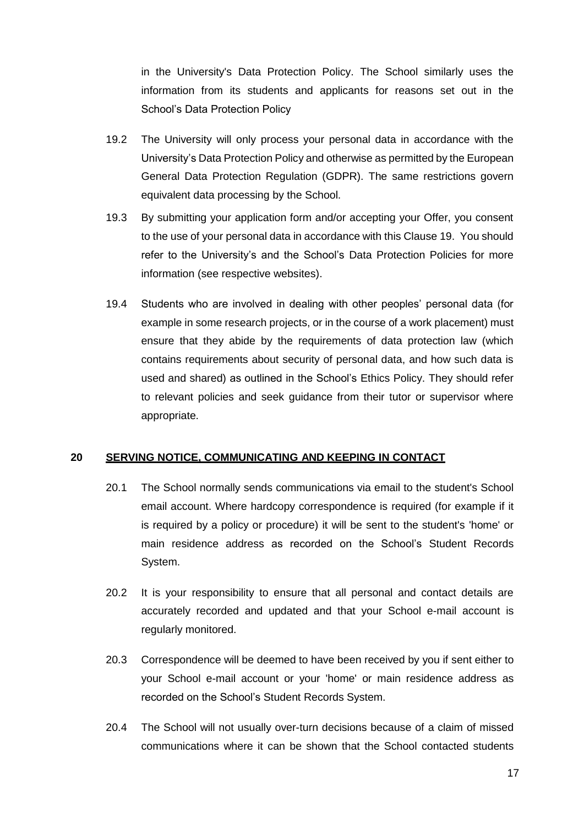in the University's [Data](http://bucks.ac.uk/__data/assets/pdf_file/0026/9548/Data-Protection-Policy.pdf) [Protection Policy.](http://bucks.ac.uk/__data/assets/pdf_file/0026/9548/Data-Protection-Policy.pdf) The School similarly uses the information from its students and applicants for reasons set out in the School's Data Protection Policy

- 19.2 The University will only process your personal data in accordance with the University's Data [Protection](http://bucks.ac.uk/about_us/how_we_are_structured/Governance/Regulations/) Policy and otherwise as permitted by the European General Data Protection Regulation (GDPR). The same restrictions govern equivalent data processing by the School.
- 19.3 By submitting your application form and/or accepting your Offer, you consent to the use of your personal data in accordance with this Clause 19. You should refer to the University's and the School's [Data Protection Policies](http://bucks.ac.uk/about_us/how_we_are_structured/Governance/Regulations/) for more information (see respective websites).
- 19.4 Students who are involved in dealing with other peoples' personal data (for example in some research projects, or in the course of a work placement) must ensure that they abide by the requirements of data protection law (which contains requirements about security of personal data, and how such data is used and shared) as outlined in the School's [Ethics Policy.](http://bucks.ac.uk/__data/assets/pdf_file/0023/12767/Ethics-Policy.pdf) They should refer to relevant policies and seek guidance from their tutor or supervisor where appropriate.

#### <span id="page-16-0"></span>**20 SERVING NOTICE, COMMUNICATING AND KEEPING IN CONTACT**

- 20.1 The School normally sends communications via email to the student's School email account. Where hardcopy correspondence is required (for example if it is required by a policy or procedure) it will be sent to the student's 'home' or main residence address as recorded on the School's Student Records System.
- 20.2 It is your responsibility to ensure that all personal and contact details are accurately recorded and updated and that your School e-mail account is regularly monitored.
- 20.3 Correspondence will be deemed to have been received by you if sent either to your School e-mail account or your 'home' or main residence address as recorded on the School's Student Records System.
- 20.4 The School will not usually over-turn decisions because of a claim of missed communications where it can be shown that the School contacted students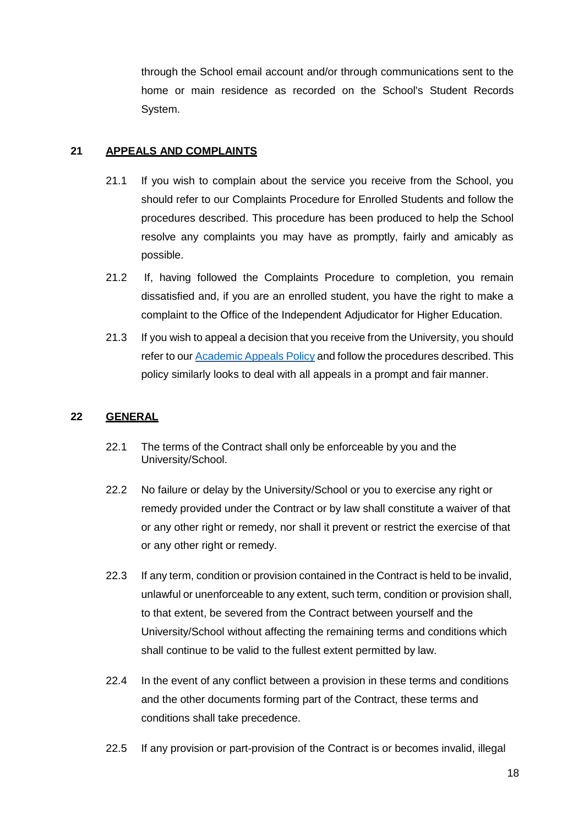through the School email account and/or through communications sent to the home or main residence as recorded on the School's Student Records System.

## <span id="page-17-0"></span>**21 APPEALS AND COMPLAINTS**

- 21.1 If you wish to complain about the service you receive from the School, you should refer to our Complaints Procedure for Enrolled Students and follow the procedures described. This procedure has been produced to help the School resolve any complaints you may have as promptly, fairly and amicably as possible.
- 21.2 If, having followed the Complaints Procedure to completion, you remain dissatisfied and, if you are an enrolled student, you have the right to make a complaint to the Office of the Independent Adjudicator for Higher Education.
- 21.3 If you wish to appeal a decision that you receive from the University, you should refer to our [Academic](http://bucks.ac.uk/__data/assets/pdf_file/0020/9551/Academic-appeals-process.pdf) Appeals Policy and follow the procedures described. This policy similarly looks to deal with all appeals in a prompt and fair manner.

## <span id="page-17-1"></span>**22 GENERAL**

- 22.1 The terms of the Contract shall only be enforceable by you and the University/School.
- 22.2 No failure or delay by the University/School or you to exercise any right or remedy provided under the Contract or by law shall constitute a waiver of that or any other right or remedy, nor shall it prevent or restrict the exercise of that or any other right or remedy.
- 22.3 If any term, condition or provision contained in the Contract is held to be invalid, unlawful or unenforceable to any extent, such term, condition or provision shall, to that extent, be severed from the Contract between yourself and the University/School without affecting the remaining terms and conditions which shall continue to be valid to the fullest extent permitted by law.
- 22.4 In the event of any conflict between a provision in these terms and conditions and the other documents forming part of the Contract, these terms and conditions shall take precedence.
- 22.5 If any provision or part-provision of the Contract is or becomes invalid, illegal